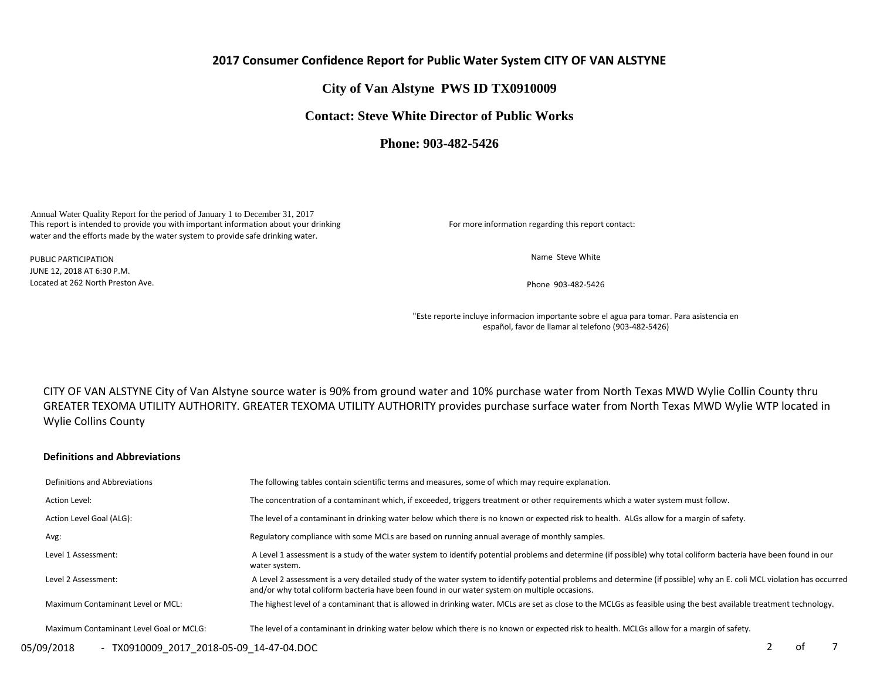# **2017 Consumer Confidence Report for Public Water System CITY OF VAN ALSTYNE**

# **City of Van Alstyne PWS ID TX0910009**

# **Contact: Steve White Director of Public Works**

**Phone: 903-482-5426** 

Annual Water Quality Report for the period of January 1 to December 31, 2017 This report is intended to provide you with important information about your drinking water and the efforts made by the water system to provide safe drinking water.

For more information regarding this report contact:

Name Steve White

Phone 903-482-5426

"Este reporte incluye informacion importante sobre el agua para tomar. Para asistencia en español, favor de llamar al telefono (903-482-5426)

CITY OF VAN ALSTYNE City of Van Alstyne source water is 90% from ground water and 10% purchase water from North Texas MWD Wylie Collin County thru GREATER TEXOMA UTILITY AUTHORITY. GREATER TEXOMA UTILITY AUTHORITY provides purchase surface water from North Texas MWD Wylie WTP located in Wylie Collins County

#### **Definitions and Abbreviations**

| Definitions and Abbreviations           | The following tables contain scientific terms and measures, some of which may require explanation.                                                                                                                                                                      |
|-----------------------------------------|-------------------------------------------------------------------------------------------------------------------------------------------------------------------------------------------------------------------------------------------------------------------------|
| Action Level:                           | The concentration of a contaminant which, if exceeded, triggers treatment or other requirements which a water system must follow.                                                                                                                                       |
| Action Level Goal (ALG):                | The level of a contaminant in drinking water below which there is no known or expected risk to health. ALGs allow for a margin of safety.                                                                                                                               |
| Avg:                                    | Regulatory compliance with some MCLs are based on running annual average of monthly samples.                                                                                                                                                                            |
| Level 1 Assessment:                     | A Level 1 assessment is a study of the water system to identify potential problems and determine (if possible) why total coliform bacteria have been found in our<br>water system.                                                                                      |
| Level 2 Assessment:                     | A Level 2 assessment is a very detailed study of the water system to identify potential problems and determine (if possible) why an E. coli MCL violation has occurred<br>and/or why total coliform bacteria have been found in our water system on multiple occasions. |
| Maximum Contaminant Level or MCL:       | The highest level of a contaminant that is allowed in drinking water. MCLs are set as close to the MCLGs as feasible using the best available treatment technology.                                                                                                     |
| Maximum Contaminant Level Goal or MCLG: | The level of a contaminant in drinking water below which there is no known or expected risk to health. MCLGs allow for a margin of safety.                                                                                                                              |

PUBLIC PARTICIPATION JUNE 12, 2018 AT 6:30 P.M. Located at 262 North Preston Ave.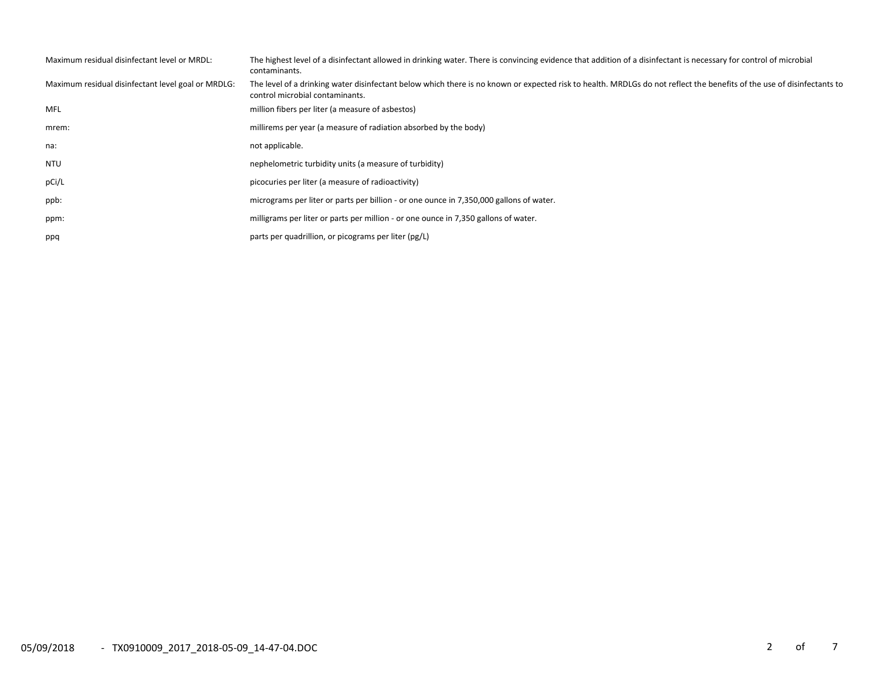| Maximum residual disinfectant level or MRDL:       | The highest level of a disinfectant allowed in drinking water. There is convincing evidence that addition of a disinfectant is necessary for control of microbial<br>contaminants.                        |
|----------------------------------------------------|-----------------------------------------------------------------------------------------------------------------------------------------------------------------------------------------------------------|
| Maximum residual disinfectant level goal or MRDLG: | The level of a drinking water disinfectant below which there is no known or expected risk to health. MRDLGs do not reflect the benefits of the use of disinfectants to<br>control microbial contaminants. |
| MFL                                                | million fibers per liter (a measure of asbestos)                                                                                                                                                          |
| mrem:                                              | millirems per year (a measure of radiation absorbed by the body)                                                                                                                                          |
| na:                                                | not applicable.                                                                                                                                                                                           |
| <b>NTU</b>                                         | nephelometric turbidity units (a measure of turbidity)                                                                                                                                                    |
| pCi/L                                              | picocuries per liter (a measure of radioactivity)                                                                                                                                                         |
| ppb:                                               | micrograms per liter or parts per billion - or one ounce in 7,350,000 gallons of water.                                                                                                                   |
| ppm:                                               | milligrams per liter or parts per million - or one ounce in 7,350 gallons of water.                                                                                                                       |
| ppq                                                | parts per quadrillion, or picograms per liter (pg/L)                                                                                                                                                      |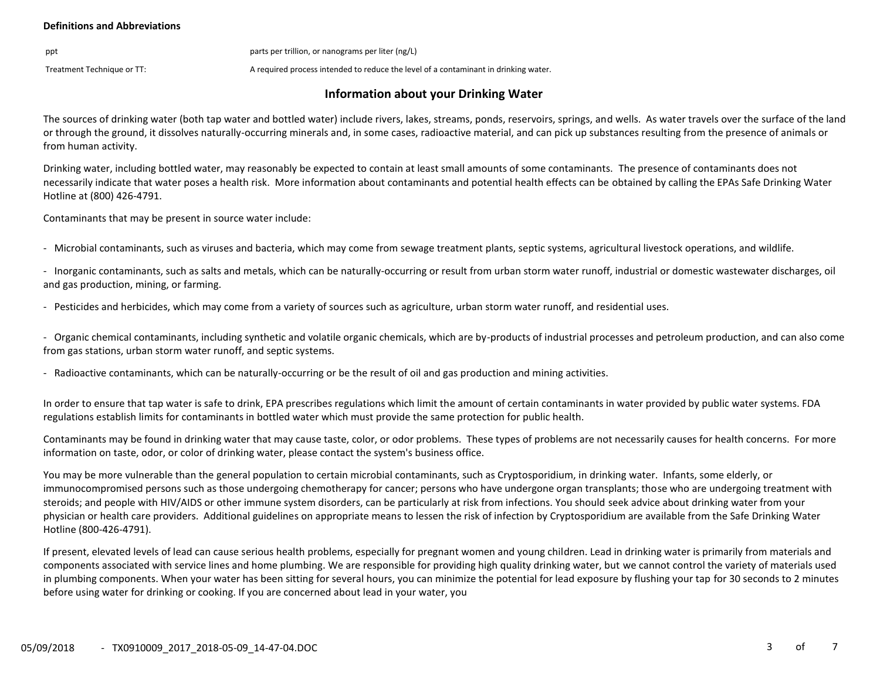#### **Definitions and Abbreviations**

ppt parts per trillion, or nanograms per liter (ng/L)

Treatment Technique or TT:  $\blacksquare$  A required process intended to reduce the level of a contaminant in drinking water.

# **Information about your Drinking Water**

The sources of drinking water (both tap water and bottled water) include rivers, lakes, streams, ponds, reservoirs, springs, and wells. As water travels over the surface of the land or through the ground, it dissolves naturally-occurring minerals and, in some cases, radioactive material, and can pick up substances resulting from the presence of animals or from human activity.

Drinking water, including bottled water, may reasonably be expected to contain at least small amounts of some contaminants. The presence of contaminants does not necessarily indicate that water poses a health risk. More information about contaminants and potential health effects can be obtained by calling the EPAs Safe Drinking Water Hotline at (800) 426-4791.

Contaminants that may be present in source water include:

- Microbial contaminants, such as viruses and bacteria, which may come from sewage treatment plants, septic systems, agricultural livestock operations, and wildlife.

- Inorganic contaminants, such as salts and metals, which can be naturally-occurring or result from urban storm water runoff, industrial or domestic wastewater discharges, oil and gas production, mining, or farming.

- Pesticides and herbicides, which may come from a variety of sources such as agriculture, urban storm water runoff, and residential uses.

- Organic chemical contaminants, including synthetic and volatile organic chemicals, which are by-products of industrial processes and petroleum production, and can also come from gas stations, urban storm water runoff, and septic systems.

- Radioactive contaminants, which can be naturally-occurring or be the result of oil and gas production and mining activities.

In order to ensure that tap water is safe to drink, EPA prescribes regulations which limit the amount of certain contaminants in water provided by public water systems. FDA regulations establish limits for contaminants in bottled water which must provide the same protection for public health.

Contaminants may be found in drinking water that may cause taste, color, or odor problems. These types of problems are not necessarily causes for health concerns. For more information on taste, odor, or color of drinking water, please contact the system's business office.

You may be more vulnerable than the general population to certain microbial contaminants, such as Cryptosporidium, in drinking water. Infants, some elderly, or immunocompromised persons such as those undergoing chemotherapy for cancer; persons who have undergone organ transplants; those who are undergoing treatment with steroids; and people with HIV/AIDS or other immune system disorders, can be particularly at risk from infections. You should seek advice about drinking water from your physician or health care providers. Additional guidelines on appropriate means to lessen the risk of infection by Cryptosporidium are available from the Safe Drinking Water Hotline (800-426-4791).

If present, elevated levels of lead can cause serious health problems, especially for pregnant women and young children. Lead in drinking water is primarily from materials and components associated with service lines and home plumbing. We are responsible for providing high quality drinking water, but we cannot control the variety of materials used in plumbing components. When your water has been sitting for several hours, you can minimize the potential for lead exposure by flushing your tap for 30 seconds to 2 minutes before using water for drinking or cooking. If you are concerned about lead in your water, you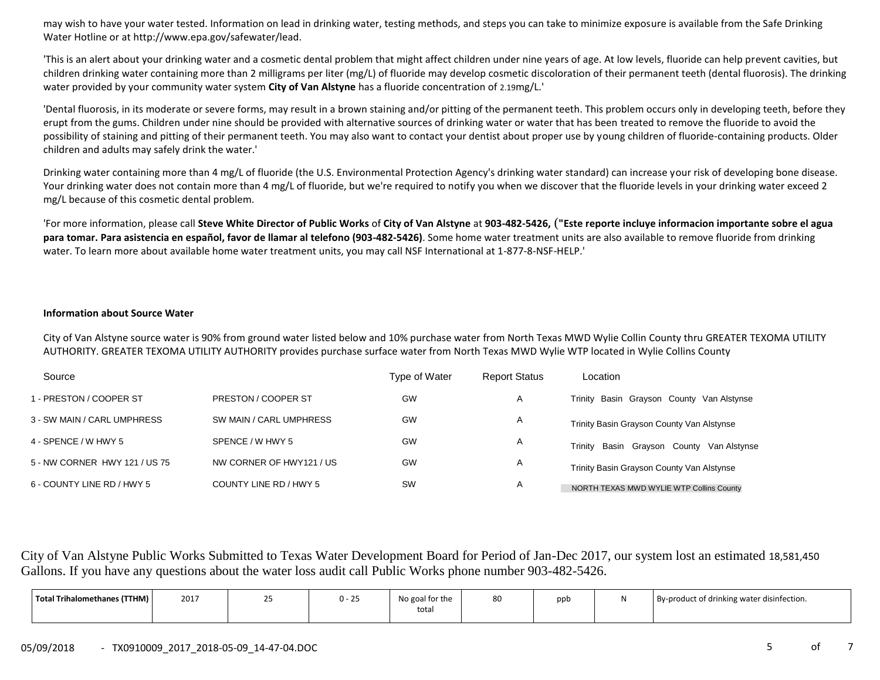may wish to have your water tested. Information on lead in drinking water, testing methods, and steps you can take to minimize exposure is available from the Safe Drinking Water Hotline or at http://www.epa.gov/safewater/lead.

'This is an alert about your drinking water and a cosmetic dental problem that might affect children under nine years of age. At low levels, fluoride can help prevent cavities, but children drinking water containing more than 2 milligrams per liter (mg/L) of fluoride may develop cosmetic discoloration of their permanent teeth (dental fluorosis). The drinking water provided by your community water system **City of Van Alstyne** has a fluoride concentration of 2.19mg/L.'

'Dental fluorosis, in its moderate or severe forms, may result in a brown staining and/or pitting of the permanent teeth. This problem occurs only in developing teeth, before they erupt from the gums. Children under nine should be provided with alternative sources of drinking water or water that has been treated to remove the fluoride to avoid the possibility of staining and pitting of their permanent teeth. You may also want to contact your dentist about proper use by young children of fluoride-containing products. Older children and adults may safely drink the water.'

Drinking water containing more than 4 mg/L of fluoride (the U.S. Environmental Protection Agency's drinking water standard) can increase your risk of developing bone disease. Your drinking water does not contain more than 4 mg/L of fluoride, but we're required to notify you when we discover that the fluoride levels in your drinking water exceed 2 mg/L because of this cosmetic dental problem.

'For more information, please call **Steve White Director of Public Works** of **City of Van Alstyne** at **903-482-5426,** (**"Este reporte incluye informacion importante sobre el agua para tomar. Para asistencia en español, favor de llamar al telefono (903-482-5426)**. Some home water treatment units are also available to remove fluoride from drinking water. To learn more about available home water treatment units, you may call NSF International at 1-877-8-NSF-HELP.'

#### **Information about Source Water**

City of Van Alstyne source water is 90% from ground water listed below and 10% purchase water from North Texas MWD Wylie Collin County thru GREATER TEXOMA UTILITY AUTHORITY. GREATER TEXOMA UTILITY AUTHORITY provides purchase surface water from North Texas MWD Wylie WTP located in Wylie Collins County

| Source                        |                          | Type of Water | <b>Report Status</b> | Location                                     |
|-------------------------------|--------------------------|---------------|----------------------|----------------------------------------------|
| 1 - PRESTON / COOPER ST       | PRESTON / COOPER ST      | GW            | A                    | Trinity Basin Grayson County Van Alstynse    |
| 3 - SW MAIN / CARL UMPHRESS   | SW MAIN / CARL UMPHRESS  | GW            | A                    | Trinity Basin Grayson County Van Alstynse    |
| 4 - SPENCE / W HWY 5          | SPENCE / W HWY 5         | GW            | A                    | Basin Grayson County Van Alstynse<br>Trinity |
| 5 - NW CORNER HWY 121 / US 75 | NW CORNER OF HWY121 / US | <b>GW</b>     | A                    | Trinity Basin Grayson County Van Alstynse    |
| 6 - COUNTY LINE RD / HWY 5    | COUNTY LINE RD / HWY 5   | <b>SW</b>     | A                    | NORTH TEXAS MWD WYLIE WTP Collins County     |

City of Van Alstyne Public Works Submitted to Texas Water Development Board for Period of Jan-Dec 2017, our system lost an estimated 18,581,450 Gallons. If you have any questions about the water loss audit call Public Works phone number 903-482-5426.

| Total Trihalomethanes (TTHM) | 2017 | () –<br>້ | No goal for the | 80 | ppt | By-product of drinking water disinfection. |
|------------------------------|------|-----------|-----------------|----|-----|--------------------------------------------|
|                              |      |           | roral           |    |     |                                            |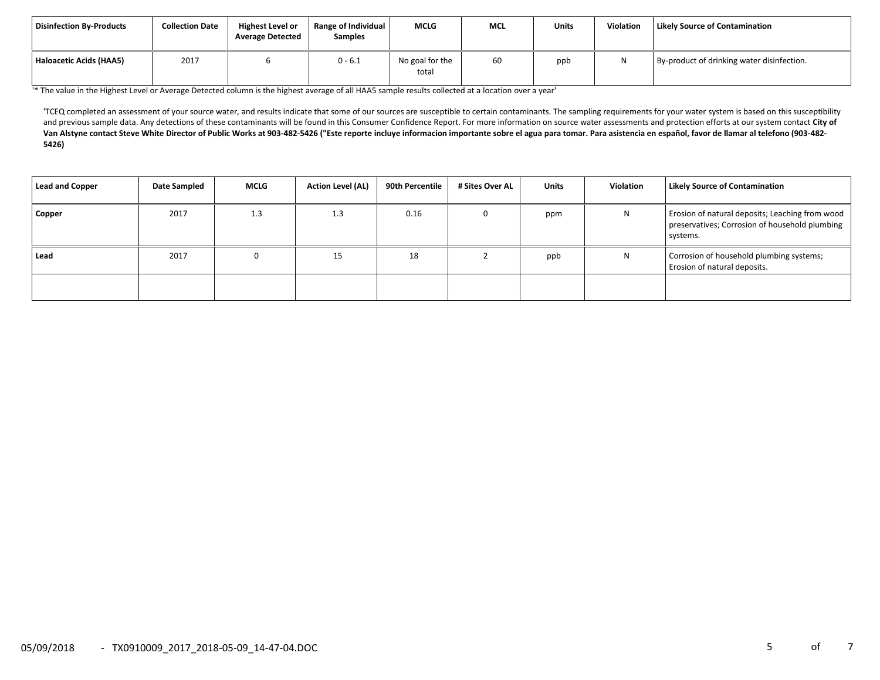| Disinfection By-Products | <b>Collection Date</b> | <b>Highest Level or</b><br><b>Average Detected</b> | Range of Individual<br><b>Samples</b> | <b>MCLG</b>              | <b>MCL</b> | <b>Units</b> | Violation    | <b>Likely Source of Contamination</b>      |
|--------------------------|------------------------|----------------------------------------------------|---------------------------------------|--------------------------|------------|--------------|--------------|--------------------------------------------|
| Haloacetic Acids (HAA5)  | 2017                   |                                                    | $0 - 6.1$                             | No goal for the<br>total | 60         | ppb          | $\mathbf{M}$ | By-product of drinking water disinfection. |

'\* The value in the Highest Level or Average Detected column is the highest average of all HAA5 sample results collected at a location over a year'

'TCEQ completed an assessment of your source water, and results indicate that some of our sources are susceptible to certain contaminants. The sampling requirements for your water system is based on this susceptibility and previous sample data. Any detections of these contaminants will be found in this Consumer Confidence Report. For more information on source water assessments and protection efforts at our system contact **City of**  Van Alstyne contact Steve White Director of Public Works at 903-482-5426 ("Este reporte incluye informacion importante sobre el agua para tomar. Para asistencia en español, favor de llamar al telefono (903-482-**5426)**

| <b>Lead and Copper</b> | Date Sampled | <b>MCLG</b> | <b>Action Level (AL)</b> | 90th Percentile | # Sites Over AL | <b>Units</b> | Violation | <b>Likely Source of Contamination</b>                                                                         |
|------------------------|--------------|-------------|--------------------------|-----------------|-----------------|--------------|-----------|---------------------------------------------------------------------------------------------------------------|
| Copper                 | 2017         | 1.3         | 1.3                      | 0.16            |                 | ppm          | N         | Erosion of natural deposits; Leaching from wood<br>preservatives; Corrosion of household plumbing<br>systems. |
| Lead                   | 2017         | 0           | 15                       | 18              |                 | ppb          | N         | Corrosion of household plumbing systems;<br>Erosion of natural deposits.                                      |
|                        |              |             |                          |                 |                 |              |           |                                                                                                               |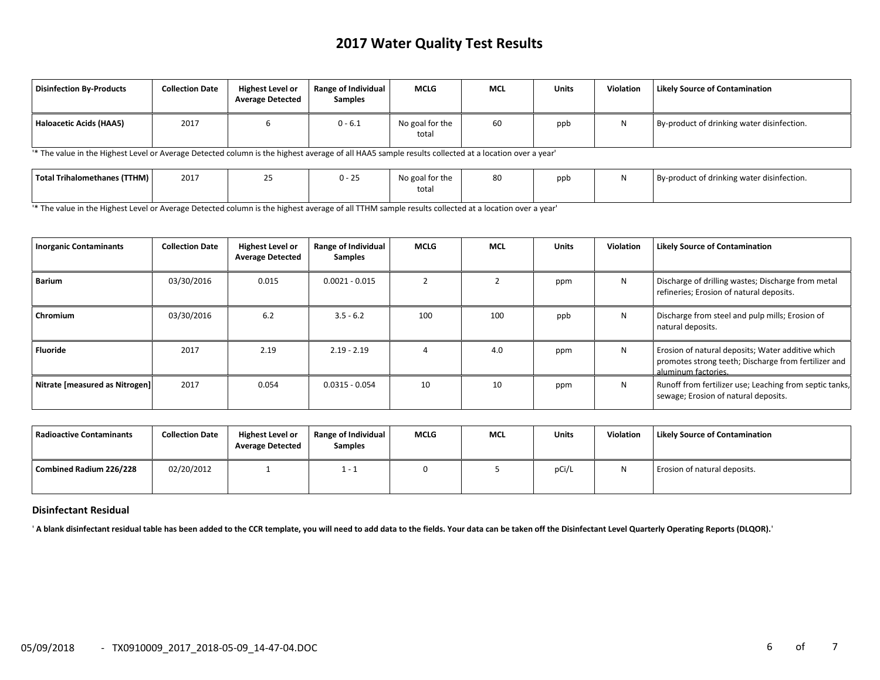# **2017 Water Quality Test Results**

| <b>Disinfection By-Products</b> | <b>Collection Date</b> | <b>Highest Level or</b><br><b>Average Detected</b> | <b>Range of Individual</b><br><b>Samples</b> | <b>MCLG</b>              | MCL | Units | <b>Violation</b> | <b>Likely Source of Contamination</b>      |
|---------------------------------|------------------------|----------------------------------------------------|----------------------------------------------|--------------------------|-----|-------|------------------|--------------------------------------------|
| Haloacetic Acids (HAA5)         | 2017                   |                                                    | $0 - 6.1$                                    | No goal for the<br>total | 60  | ppb   | ויו              | By-product of drinking water disinfection. |

'\* The value in the Highest Level or Average Detected column is the highest average of all HAA5 sample results collected at a location over a year'

| Total Trihalomethanes (TTHM) | 201 | ີ | $U - 2$ | No goal for the | 80 | ppb | By-product of drinking water disinfection. |
|------------------------------|-----|---|---------|-----------------|----|-----|--------------------------------------------|
|                              |     |   |         | total           |    |     |                                            |

'\* The value in the Highest Level or Average Detected column is the highest average of all TTHM sample results collected at a location over a year'

| <b>Inorganic Contaminants</b>  | <b>Collection Date</b> | <b>Highest Level or</b><br><b>Average Detected</b> | Range of Individual<br><b>Samples</b> | <b>MCLG</b> | <b>MCL</b> | <b>Units</b> | Violation | <b>Likely Source of Contamination</b>                                                                                            |
|--------------------------------|------------------------|----------------------------------------------------|---------------------------------------|-------------|------------|--------------|-----------|----------------------------------------------------------------------------------------------------------------------------------|
| Barium                         | 03/30/2016             | 0.015                                              | $0.0021 - 0.015$                      |             |            | ppm          | N         | Discharge of drilling wastes; Discharge from metal<br>refineries; Erosion of natural deposits.                                   |
| Chromium                       | 03/30/2016             | 6.2                                                | $3.5 - 6.2$                           | 100         | 100        | ppb          | N         | Discharge from steel and pulp mills; Erosion of<br>natural deposits.                                                             |
| <b>Fluoride</b>                | 2017                   | 2.19                                               | $2.19 - 2.19$                         |             | 4.0        | ppm          | N         | Erosion of natural deposits; Water additive which<br>promotes strong teeth; Discharge from fertilizer and<br>aluminum factories. |
| Nitrate [measured as Nitrogen] | 2017                   | 0.054                                              | $0.0315 - 0.054$                      | 10          | 10         | ppm          | N         | Runoff from fertilizer use; Leaching from septic tanks,<br>sewage; Erosion of natural deposits.                                  |

| l Radioactive Contaminants | <b>Collection Date</b> | <b>Highest Level or</b><br><b>Average Detected</b> | Range of Individual<br><b>Samples</b> | <b>MCLG</b> | <b>MCL</b> | <b>Units</b> | <b>Violation</b> | <b>Likely Source of Contamination</b> |
|----------------------------|------------------------|----------------------------------------------------|---------------------------------------|-------------|------------|--------------|------------------|---------------------------------------|
| Combined Radium 226/228    | 02/20/2012             |                                                    | $1 - 1$                               |             |            | pCi/L        |                  | Erosion of natural deposits.          |

#### **Disinfectant Residual**

' **A blank disinfectant residual table has been added to the CCR template, you will need to add data to the fields. Your data can be taken off the Disinfectant Level Quarterly Operating Reports (DLQOR).**'